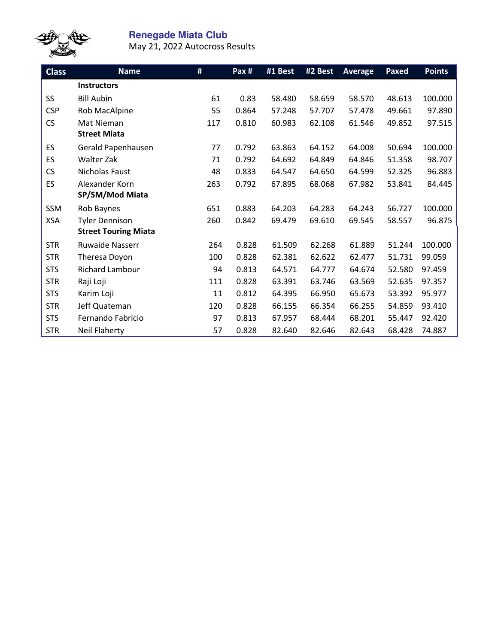

## **Renegade Miata Club**

May 21, 2022 Autocross Results

| <b>Class</b> | <b>Name</b>                 | #   | $\overline{Pax}$ # | #1 Best | #2 Best | <b>Average</b> | Paxed  | <b>Points</b> |
|--------------|-----------------------------|-----|--------------------|---------|---------|----------------|--------|---------------|
|              | <b>Instructors</b>          |     |                    |         |         |                |        |               |
| SS           | <b>Bill Aubin</b>           | 61  | 0.83               | 58.480  | 58.659  | 58.570         | 48.613 | 100.000       |
| <b>CSP</b>   | Rob MacAlpine               | 55  | 0.864              | 57.248  | 57.707  | 57.478         | 49.661 | 97.890        |
| CS           | Mat Nieman                  | 117 | 0.810              | 60.983  | 62.108  | 61.546         | 49.852 | 97.515        |
|              | <b>Street Miata</b>         |     |                    |         |         |                |        |               |
| ES           | Gerald Papenhausen          | 77  | 0.792              | 63.863  | 64.152  | 64.008         | 50.694 | 100.000       |
| ES           | <b>Walter Zak</b>           | 71  | 0.792              | 64.692  | 64.849  | 64.846         | 51.358 | 98.707        |
| <b>CS</b>    | Nicholas Faust              | 48  | 0.833              | 64.547  | 64.650  | 64.599         | 52.325 | 96.883        |
| ES           | Alexander Korn              | 263 | 0.792              | 67.895  | 68.068  | 67.982         | 53.841 | 84.445        |
|              | SP/SM/Mod Miata             |     |                    |         |         |                |        |               |
| SSM          | Rob Baynes                  | 651 | 0.883              | 64.203  | 64.283  | 64.243         | 56.727 | 100.000       |
| <b>XSA</b>   | <b>Tyler Dennison</b>       | 260 | 0.842              | 69.479  | 69.610  | 69.545         | 58.557 | 96.875        |
|              | <b>Street Touring Miata</b> |     |                    |         |         |                |        |               |
| <b>STR</b>   | <b>Ruwaide Nasserr</b>      | 264 | 0.828              | 61.509  | 62.268  | 61.889         | 51.244 | 100.000       |
| <b>STR</b>   | Theresa Doyon               | 100 | 0.828              | 62.381  | 62.622  | 62.477         | 51.731 | 99.059        |
| <b>STS</b>   | Richard Lambour             | 94  | 0.813              | 64.571  | 64.777  | 64.674         | 52.580 | 97.459        |
| <b>STR</b>   | Raji Loji                   | 111 | 0.828              | 63.391  | 63.746  | 63.569         | 52.635 | 97.357        |
| <b>STS</b>   | Karim Loji                  | 11  | 0.812              | 64.395  | 66.950  | 65.673         | 53.392 | 95.977        |
| <b>STR</b>   | Jeff Quateman               | 120 | 0.828              | 66.155  | 66.354  | 66.255         | 54.859 | 93.410        |
| <b>STS</b>   | Fernando Fabricio           | 97  | 0.813              | 67.957  | 68.444  | 68.201         | 55.447 | 92.420        |
| <b>STR</b>   | Neil Flaherty               | 57  | 0.828              | 82.640  | 82.646  | 82.643         | 68.428 | 74.887        |